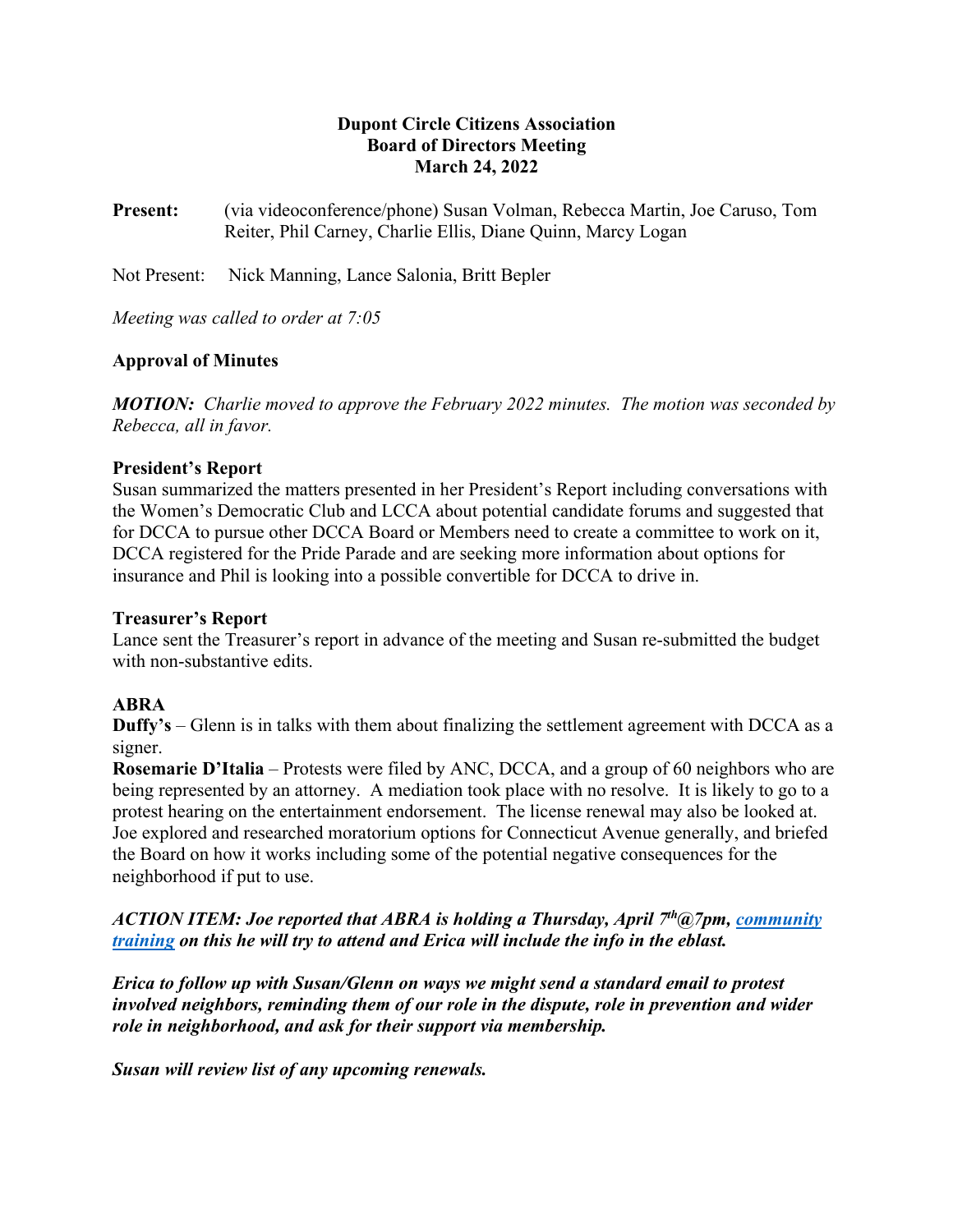## **Dupont Circle Citizens Association Board of Directors Meeting March 24, 2022**

**Present:** (via videoconference/phone) Susan Volman, Rebecca Martin, Joe Caruso, Tom Reiter, Phil Carney, Charlie Ellis, Diane Quinn, Marcy Logan

Not Present: Nick Manning, Lance Salonia, Britt Bepler

*Meeting was called to order at 7:05*

# **Approval of Minutes**

*MOTION: Charlie moved to approve the February 2022 minutes. The motion was seconded by Rebecca, all in favor.*

#### **President's Report**

Susan summarized the matters presented in her President's Report including conversations with the Women's Democratic Club and LCCA about potential candidate forums and suggested that for DCCA to pursue other DCCA Board or Members need to create a committee to work on it, DCCA registered for the Pride Parade and are seeking more information about options for insurance and Phil is looking into a possible convertible for DCCA to drive in.

#### **Treasurer's Report**

Lance sent the Treasurer's report in advance of the meeting and Susan re-submitted the budget with non-substantive edits.

#### **ABRA**

**Duffy's** – Glenn is in talks with them about finalizing the settlement agreement with DCCA as a signer.

**Rosemarie D'Italia** – Protests were filed by ANC, DCCA, and a group of 60 neighbors who are being represented by an attorney. A mediation took place with no resolve. It is likely to go to a protest hearing on the entertainment endorsement. The license renewal may also be looked at. Joe explored and researched moratorium options for Connecticut Avenue generally, and briefed the Board on how it works including some of the potential negative consequences for the neighborhood if put to use.

*ACTION ITEM: Joe reported that ABRA is holding a Thursday, April 7th@7pm, community training on this he will try to attend and Erica will include the info in the eblast.*

*Erica to follow up with Susan/Glenn on ways we might send a standard email to protest involved neighbors, reminding them of our role in the dispute, role in prevention and wider role in neighborhood, and ask for their support via membership.*

*Susan will review list of any upcoming renewals.*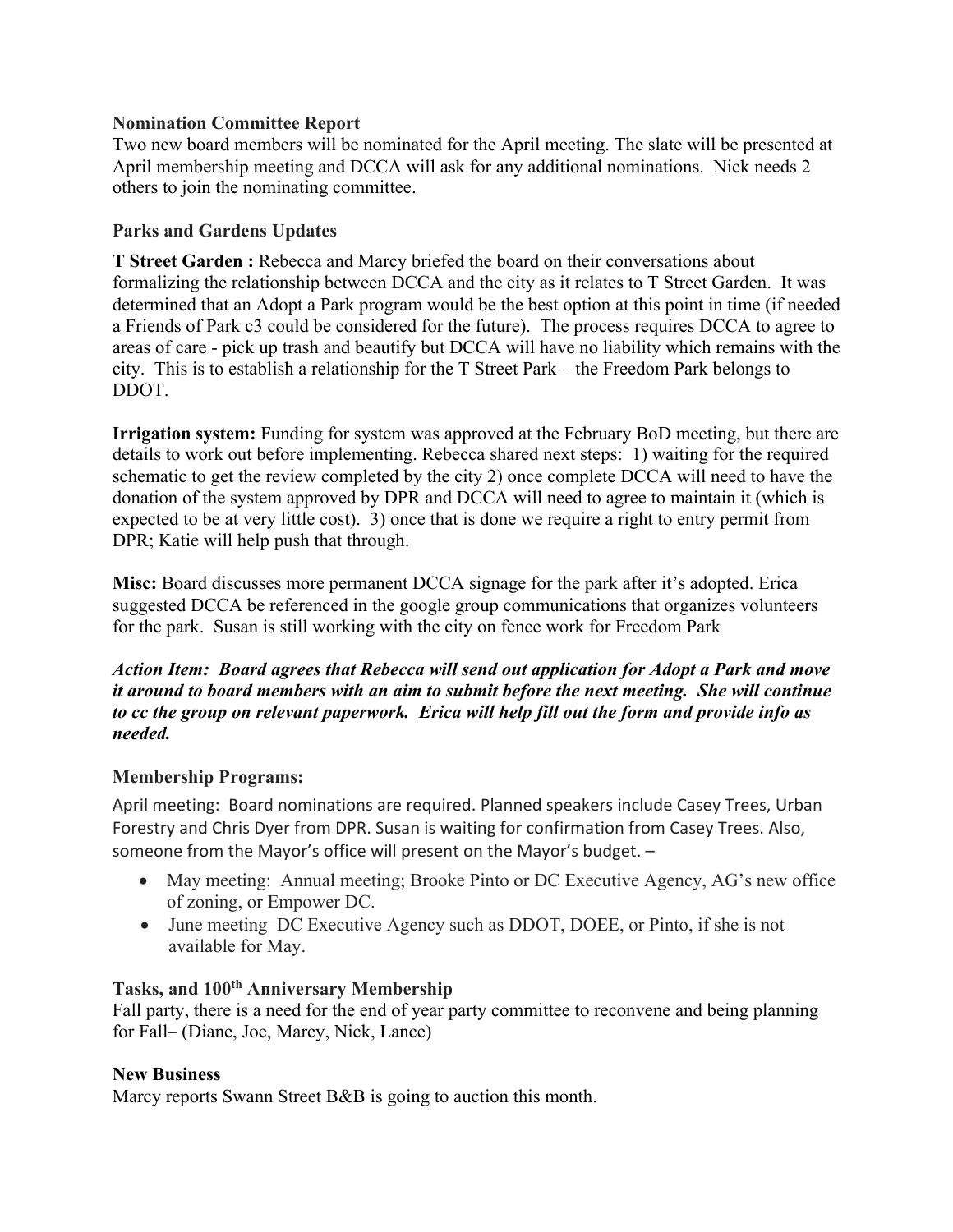## **Nomination Committee Report**

Two new board members will be nominated for the April meeting. The slate will be presented at April membership meeting and DCCA will ask for any additional nominations. Nick needs 2 others to join the nominating committee.

## **Parks and Gardens Updates**

**T Street Garden :** Rebecca and Marcy briefed the board on their conversations about formalizing the relationship between DCCA and the city as it relates to T Street Garden. It was determined that an Adopt a Park program would be the best option at this point in time (if needed a Friends of Park c3 could be considered for the future). The process requires DCCA to agree to areas of care - pick up trash and beautify but DCCA will have no liability which remains with the city. This is to establish a relationship for the T Street Park – the Freedom Park belongs to DDOT.

**Irrigation system:** Funding for system was approved at the February BoD meeting, but there are details to work out before implementing. Rebecca shared next steps: 1) waiting for the required schematic to get the review completed by the city 2) once complete DCCA will need to have the donation of the system approved by DPR and DCCA will need to agree to maintain it (which is expected to be at very little cost). 3) once that is done we require a right to entry permit from DPR; Katie will help push that through.

**Misc:** Board discusses more permanent DCCA signage for the park after it's adopted. Erica suggested DCCA be referenced in the google group communications that organizes volunteers for the park. Susan is still working with the city on fence work for Freedom Park

*Action Item: Board agrees that Rebecca will send out application for Adopt a Park and move it around to board members with an aim to submit before the next meeting. She will continue to cc the group on relevant paperwork. Erica will help fill out the form and provide info as needed.*

# **Membership Programs:**

April meeting: Board nominations are required. Planned speakers include Casey Trees, Urban Forestry and Chris Dyer from DPR. Susan is waiting for confirmation from Casey Trees. Also, someone from the Mayor's office will present on the Mayor's budget. –

- May meeting: Annual meeting; Brooke Pinto or DC Executive Agency, AG's new office of zoning, or Empower DC.
- June meeting–DC Executive Agency such as DDOT, DOEE, or Pinto, if she is not available for May.

# **Tasks, and 100th Anniversary Membership**

Fall party, there is a need for the end of year party committee to reconvene and being planning for Fall– (Diane, Joe, Marcy, Nick, Lance)

# **New Business**

Marcy reports Swann Street B&B is going to auction this month.